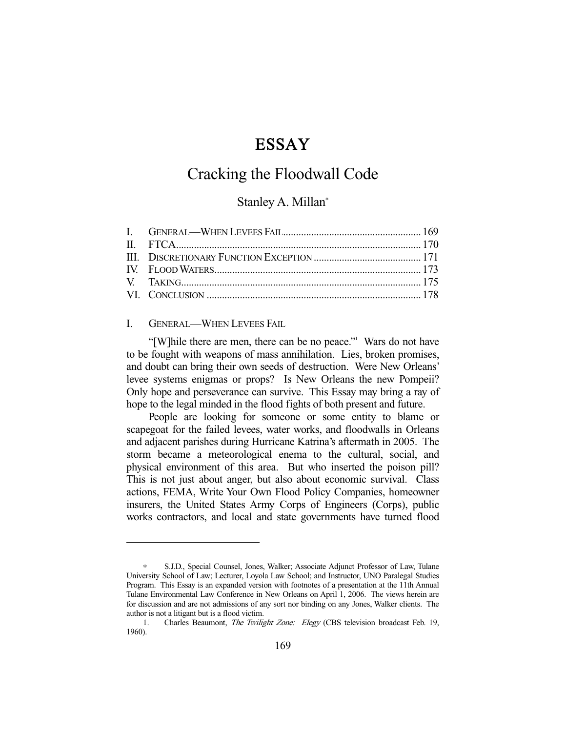# ESSAY

## Cracking the Floodwall Code

### Stanley A. Millan<sup>∗</sup>

#### I. GENERAL—WHEN LEVEES FAIL

-

"[W] hile there are men, there can be no peace." Wars do not have to be fought with weapons of mass annihilation. Lies, broken promises, and doubt can bring their own seeds of destruction. Were New Orleans' levee systems enigmas or props? Is New Orleans the new Pompeii? Only hope and perseverance can survive. This Essay may bring a ray of hope to the legal minded in the flood fights of both present and future.

 People are looking for someone or some entity to blame or scapegoat for the failed levees, water works, and floodwalls in Orleans and adjacent parishes during Hurricane Katrina's aftermath in 2005. The storm became a meteorological enema to the cultural, social, and physical environment of this area. But who inserted the poison pill? This is not just about anger, but also about economic survival. Class actions, FEMA, Write Your Own Flood Policy Companies, homeowner insurers, the United States Army Corps of Engineers (Corps), public works contractors, and local and state governments have turned flood

S.J.D., Special Counsel, Jones, Walker; Associate Adjunct Professor of Law, Tulane University School of Law; Lecturer, Loyola Law School; and Instructor, UNO Paralegal Studies Program. This Essay is an expanded version with footnotes of a presentation at the 11th Annual Tulane Environmental Law Conference in New Orleans on April 1, 2006. The views herein are for discussion and are not admissions of any sort nor binding on any Jones, Walker clients. The author is not a litigant but is a flood victim.

<sup>1.</sup> Charles Beaumont, *The Twilight Zone: Elegy* (CBS television broadcast Feb. 19, 1960).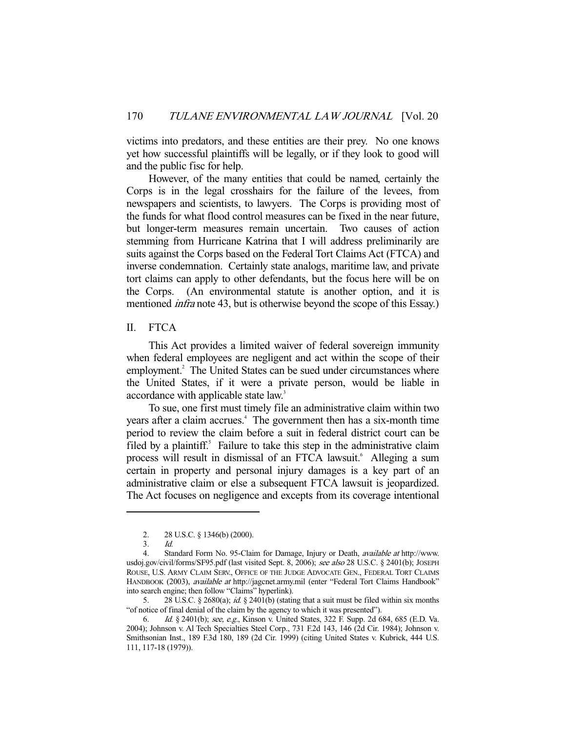victims into predators, and these entities are their prey. No one knows yet how successful plaintiffs will be legally, or if they look to good will and the public fisc for help.

 However, of the many entities that could be named, certainly the Corps is in the legal crosshairs for the failure of the levees, from newspapers and scientists, to lawyers. The Corps is providing most of the funds for what flood control measures can be fixed in the near future, but longer-term measures remain uncertain. Two causes of action stemming from Hurricane Katrina that I will address preliminarily are suits against the Corps based on the Federal Tort Claims Act (FTCA) and inverse condemnation. Certainly state analogs, maritime law, and private tort claims can apply to other defendants, but the focus here will be on the Corps. (An environmental statute is another option, and it is mentioned *infra* note 43, but is otherwise beyond the scope of this Essay.)

#### II. FTCA

 This Act provides a limited waiver of federal sovereign immunity when federal employees are negligent and act within the scope of their employment.<sup>2</sup> The United States can be sued under circumstances where the United States, if it were a private person, would be liable in accordance with applicable state law.<sup>3</sup>

 To sue, one first must timely file an administrative claim within two years after a claim accrues.<sup>4</sup> The government then has a six-month time period to review the claim before a suit in federal district court can be filed by a plaintiff. $5$  Failure to take this step in the administrative claim process will result in dismissal of an FTCA lawsuit.<sup>6</sup> Alleging a sum certain in property and personal injury damages is a key part of an administrative claim or else a subsequent FTCA lawsuit is jeopardized. The Act focuses on negligence and excepts from its coverage intentional

-

5. 28 U.S.C. § 2680(a); *id.* § 2401(b) (stating that a suit must be filed within six months "of notice of final denial of the claim by the agency to which it was presented").

 <sup>2. 28</sup> U.S.C. § 1346(b) (2000).

 <sup>3.</sup> Id.

<sup>4.</sup> Standard Form No. 95-Claim for Damage, Injury or Death, available at http://www. usdoj.gov/civil/forms/SF95.pdf (last visited Sept. 8, 2006); see also 28 U.S.C. § 2401(b); JOSEPH ROUSE, U.S. ARMY CLAIM SERV., OFFICE OF THE JUDGE ADVOCATE GEN., FEDERAL TORT CLAIMS HANDBOOK (2003), available at http://jagcnet.army.mil (enter "Federal Tort Claims Handbook" into search engine; then follow "Claims" hyperlink).

<sup>6.</sup> Id. § 2401(b); see, e.g., Kinson v. United States, 322 F. Supp. 2d 684, 685 (E.D. Va. 2004); Johnson v. Al Tech Specialties Steel Corp., 731 F.2d 143, 146 (2d Cir. 1984); Johnson v. Smithsonian Inst., 189 F.3d 180, 189 (2d Cir. 1999) (citing United States v. Kubrick, 444 U.S. 111, 117-18 (1979)).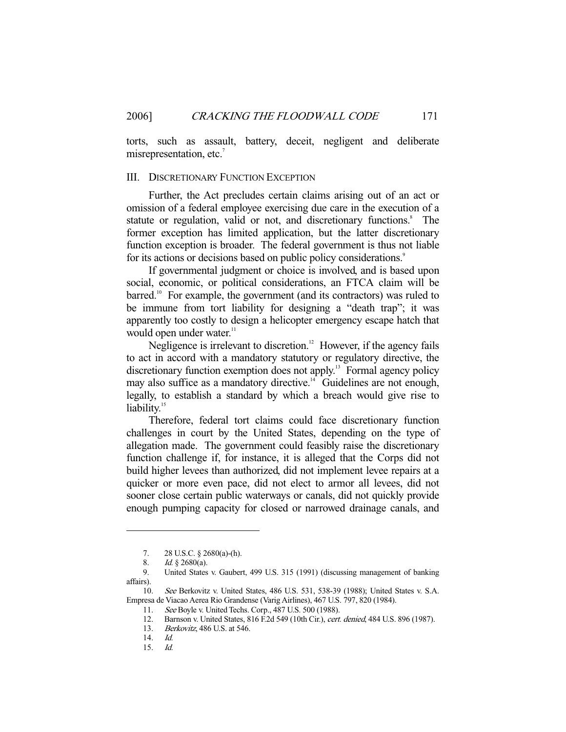torts, such as assault, battery, deceit, negligent and deliberate misrepresentation, etc.<sup>7</sup>

#### III. DISCRETIONARY FUNCTION EXCEPTION

 Further, the Act precludes certain claims arising out of an act or omission of a federal employee exercising due care in the execution of a statute or regulation, valid or not, and discretionary functions.<sup>8</sup> The former exception has limited application, but the latter discretionary function exception is broader. The federal government is thus not liable for its actions or decisions based on public policy considerations.<sup>9</sup>

 If governmental judgment or choice is involved, and is based upon social, economic, or political considerations, an FTCA claim will be barred.<sup>10</sup> For example, the government (and its contractors) was ruled to be immune from tort liability for designing a "death trap"; it was apparently too costly to design a helicopter emergency escape hatch that would open under water.<sup>11</sup>

Negligence is irrelevant to discretion.<sup>12</sup> However, if the agency fails to act in accord with a mandatory statutory or regulatory directive, the discretionary function exemption does not apply.13 Formal agency policy may also suffice as a mandatory directive.<sup>14</sup> Guidelines are not enough, legally, to establish a standard by which a breach would give rise to liability.<sup>15</sup>

 Therefore, federal tort claims could face discretionary function challenges in court by the United States, depending on the type of allegation made. The government could feasibly raise the discretionary function challenge if, for instance, it is alleged that the Corps did not build higher levees than authorized, did not implement levee repairs at a quicker or more even pace, did not elect to armor all levees, did not sooner close certain public waterways or canals, did not quickly provide enough pumping capacity for closed or narrowed drainage canals, and

 <sup>7. 28</sup> U.S.C. § 2680(a)-(h).

<sup>8.</sup> *Id.* § 2680(a).<br>9. **United States** 

 <sup>9.</sup> United States v. Gaubert, 499 U.S. 315 (1991) (discussing management of banking affairs).

 <sup>10.</sup> See Berkovitz v. United States, 486 U.S. 531, 538-39 (1988); United States v. S.A. Empresa de Viacao Aerea Rio Grandense (Varig Airlines), 467 U.S. 797, 820 (1984).

<sup>11.</sup> See Boyle v. United Techs. Corp., 487 U.S. 500 (1988).<br>12. Barnson v. United States, 816 F.2d 549 (10th Cir.). cert.

Barnson v. United States, 816 F.2d 549 (10th Cir.), cert. denied, 484 U.S. 896 (1987).

 <sup>13.</sup> Berkovitz, 486 U.S. at 546.

 <sup>14.</sup> Id.

 <sup>15.</sup> Id.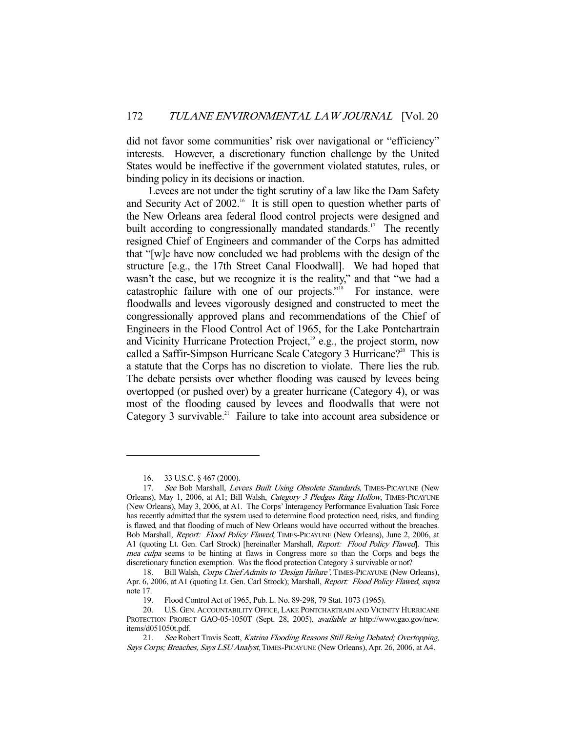did not favor some communities' risk over navigational or "efficiency" interests. However, a discretionary function challenge by the United States would be ineffective if the government violated statutes, rules, or binding policy in its decisions or inaction.

 Levees are not under the tight scrutiny of a law like the Dam Safety and Security Act of  $2002<sup>16</sup>$  It is still open to question whether parts of the New Orleans area federal flood control projects were designed and built according to congressionally mandated standards.<sup>17</sup> The recently resigned Chief of Engineers and commander of the Corps has admitted that "[w]e have now concluded we had problems with the design of the structure [e.g., the 17th Street Canal Floodwall]. We had hoped that wasn't the case, but we recognize it is the reality," and that "we had a catastrophic failure with one of our projects." $\frac{18}{18}$  For instance, were floodwalls and levees vigorously designed and constructed to meet the congressionally approved plans and recommendations of the Chief of Engineers in the Flood Control Act of 1965, for the Lake Pontchartrain and Vicinity Hurricane Protection Project,<sup>19</sup> e.g., the project storm, now called a Saffir-Simpson Hurricane Scale Category 3 Hurricane?<sup>20</sup> This is a statute that the Corps has no discretion to violate. There lies the rub. The debate persists over whether flooding was caused by levees being overtopped (or pushed over) by a greater hurricane (Category 4), or was most of the flooding caused by levees and floodwalls that were not Category 3 survivable.<sup>21</sup> Failure to take into account area subsidence or

 <sup>16. 33</sup> U.S.C. § 467 (2000).

<sup>17.</sup> See Bob Marshall, Levees Built Using Obsolete Standards, TIMES-PICAYUNE (New Orleans), May 1, 2006, at A1; Bill Walsh, Category 3 Pledges Ring Hollow, TIMES-PICAYUNE (New Orleans), May 3, 2006, at A1. The Corps' Interagency Performance Evaluation Task Force has recently admitted that the system used to determine flood protection need, risks, and funding is flawed, and that flooding of much of New Orleans would have occurred without the breaches. Bob Marshall, Report: Flood Policy Flawed, TIMES-PICAYUNE (New Orleans), June 2, 2006, at A1 (quoting Lt. Gen. Carl Strock) [hereinafter Marshall, *Report: Flood Policy Flawed*]. This mea culpa seems to be hinting at flaws in Congress more so than the Corps and begs the discretionary function exemption. Was the flood protection Category 3 survivable or not?

<sup>18.</sup> Bill Walsh, Corps Chief Admits to 'Design Failure', TIMES-PICAYUNE (New Orleans), Apr. 6, 2006, at A1 (quoting Lt. Gen. Carl Strock); Marshall, Report: Flood Policy Flawed, supra note 17.

 <sup>19.</sup> Flood Control Act of 1965, Pub. L. No. 89-298, 79 Stat. 1073 (1965).

 <sup>20.</sup> U.S. GEN. ACCOUNTABILITY OFFICE, LAKE PONTCHARTRAIN AND VICINITY HURRICANE PROTECTION PROJECT GAO-05-1050T (Sept. 28, 2005), available at http://www.gao.gov/new. items/d051050t.pdf.

<sup>21.</sup> See Robert Travis Scott, Katrina Flooding Reasons Still Being Debated; Overtopping, Says Corps; Breaches, Says LSU Analyst, TIMES-PICAYUNE (New Orleans), Apr. 26, 2006, at A4.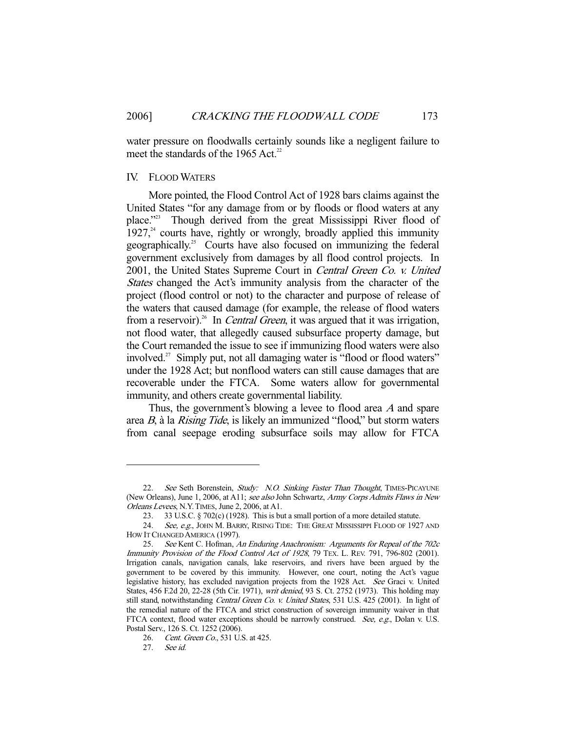water pressure on floodwalls certainly sounds like a negligent failure to meet the standards of the 1965 Act.<sup>22</sup>

#### IV. FLOOD WATERS

 More pointed, the Flood Control Act of 1928 bars claims against the United States "for any damage from or by floods or flood waters at any place."23 Though derived from the great Mississippi River flood of  $1927<sup>24</sup>$  courts have, rightly or wrongly, broadly applied this immunity geographically.25 Courts have also focused on immunizing the federal government exclusively from damages by all flood control projects. In 2001, the United States Supreme Court in Central Green Co. v. United States changed the Act's immunity analysis from the character of the project (flood control or not) to the character and purpose of release of the waters that caused damage (for example, the release of flood waters from a reservoir).<sup>26</sup> In *Central Green*, it was argued that it was irrigation, not flood water, that allegedly caused subsurface property damage, but the Court remanded the issue to see if immunizing flood waters were also involved.<sup>27</sup> Simply put, not all damaging water is "flood or flood waters" under the 1928 Act; but nonflood waters can still cause damages that are recoverable under the FTCA. Some waters allow for governmental immunity, and others create governmental liability.

 Thus, the government's blowing a levee to flood area A and spare area B, à la Rising Tide, is likely an immunized "flood," but storm waters from canal seepage eroding subsurface soils may allow for FTCA

<sup>22.</sup> See Seth Borenstein, Study: N.O. Sinking Faster Than Thought, TIMES-PICAYUNE (New Orleans), June 1, 2006, at A11; see also John Schwartz, Army Corps Admits Flaws in New Orleans Levees, N.Y.TIMES, June 2, 2006, at A1.

 <sup>23. 33</sup> U.S.C. § 702(c) (1928). This is but a small portion of a more detailed statute.

<sup>24.</sup> See, e.g., JOHN M. BARRY, RISING TIDE: THE GREAT MISSISSIPPI FLOOD OF 1927 AND HOW IT CHANGED AMERICA (1997).

 <sup>25.</sup> See Kent C. Hofman, An Enduring Anachronism: Arguments for Repeal of the 702c Immunity Provision of the Flood Control Act of 1928, 79 TEX. L. REV. 791, 796-802 (2001). Irrigation canals, navigation canals, lake reservoirs, and rivers have been argued by the government to be covered by this immunity. However, one court, noting the Act's vague legislative history, has excluded navigation projects from the 1928 Act. See Graci v. United States, 456 F.2d 20, 22-28 (5th Cir. 1971), writ denied, 93 S. Ct. 2752 (1973). This holding may still stand, notwithstanding Central Green Co. v. United States, 531 U.S. 425 (2001). In light of the remedial nature of the FTCA and strict construction of sovereign immunity waiver in that FTCA context, flood water exceptions should be narrowly construed. See, e.g., Dolan v. U.S. Postal Serv., 126 S. Ct. 1252 (2006).

 <sup>26.</sup> Cent. Green Co., 531 U.S. at 425.

 <sup>27.</sup> See id.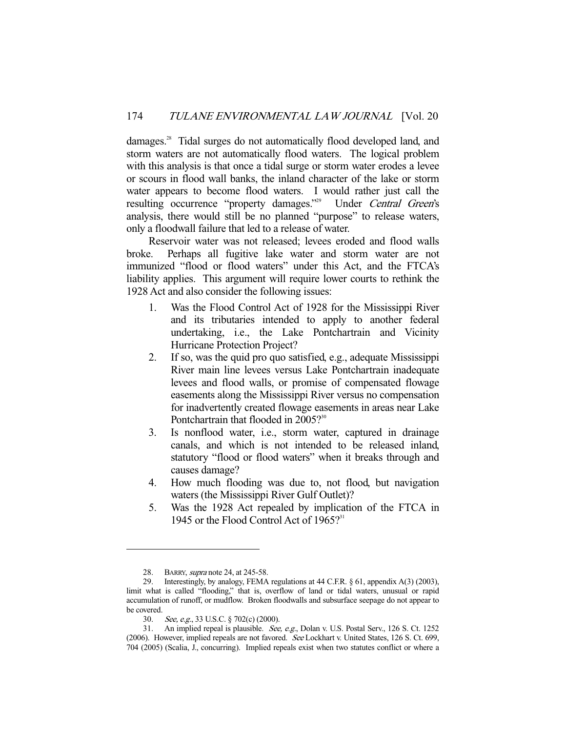damages.<sup>28</sup> Tidal surges do not automatically flood developed land, and storm waters are not automatically flood waters. The logical problem with this analysis is that once a tidal surge or storm water erodes a levee or scours in flood wall banks, the inland character of the lake or storm water appears to become flood waters. I would rather just call the resulting occurrence "property damages."<sup>29</sup> Under Central Green's analysis, there would still be no planned "purpose" to release waters, only a floodwall failure that led to a release of water.

 Reservoir water was not released; levees eroded and flood walls broke. Perhaps all fugitive lake water and storm water are not immunized "flood or flood waters" under this Act, and the FTCA's liability applies. This argument will require lower courts to rethink the 1928 Act and also consider the following issues:

- 1. Was the Flood Control Act of 1928 for the Mississippi River and its tributaries intended to apply to another federal undertaking, i.e., the Lake Pontchartrain and Vicinity Hurricane Protection Project?
- 2. If so, was the quid pro quo satisfied, e.g., adequate Mississippi River main line levees versus Lake Pontchartrain inadequate levees and flood walls, or promise of compensated flowage easements along the Mississippi River versus no compensation for inadvertently created flowage easements in areas near Lake Pontchartrain that flooded in 2005?<sup>30</sup>
- 3. Is nonflood water, i.e., storm water, captured in drainage canals, and which is not intended to be released inland, statutory "flood or flood waters" when it breaks through and causes damage?
- 4. How much flooding was due to, not flood, but navigation waters (the Mississippi River Gulf Outlet)?
- 5. Was the 1928 Act repealed by implication of the FTCA in 1945 or the Flood Control Act of  $1965?$ <sup>31</sup>

 <sup>28.</sup> BARRY, supra note 24, at 245-58.

 <sup>29.</sup> Interestingly, by analogy, FEMA regulations at 44 C.F.R. § 61, appendix A(3) (2003), limit what is called "flooding," that is, overflow of land or tidal waters, unusual or rapid accumulation of runoff, or mudflow. Broken floodwalls and subsurface seepage do not appear to be covered.

 <sup>30.</sup> See, e.g., 33 U.S.C. § 702(c) (2000).

<sup>31.</sup> An implied repeal is plausible. See, e.g., Dolan v. U.S. Postal Serv., 126 S. Ct. 1252 (2006). However, implied repeals are not favored. See Lockhart v. United States, 126 S. Ct. 699, 704 (2005) (Scalia, J., concurring). Implied repeals exist when two statutes conflict or where a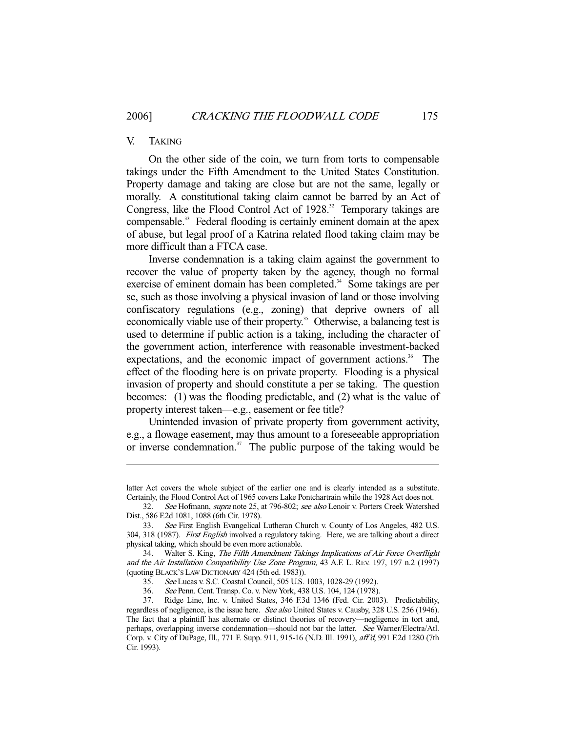#### V. TAKING

-

 On the other side of the coin, we turn from torts to compensable takings under the Fifth Amendment to the United States Constitution. Property damage and taking are close but are not the same, legally or morally. A constitutional taking claim cannot be barred by an Act of Congress, like the Flood Control Act of  $1928$ .<sup>32</sup> Temporary takings are compensable.33 Federal flooding is certainly eminent domain at the apex of abuse, but legal proof of a Katrina related flood taking claim may be more difficult than a FTCA case.

 Inverse condemnation is a taking claim against the government to recover the value of property taken by the agency, though no formal exercise of eminent domain has been completed.<sup>34</sup> Some takings are per se, such as those involving a physical invasion of land or those involving confiscatory regulations (e.g., zoning) that deprive owners of all economically viable use of their property.<sup>35</sup> Otherwise, a balancing test is used to determine if public action is a taking, including the character of the government action, interference with reasonable investment-backed expectations, and the economic impact of government actions.<sup>36</sup> The effect of the flooding here is on private property. Flooding is a physical invasion of property and should constitute a per se taking. The question becomes: (1) was the flooding predictable, and (2) what is the value of property interest taken—e.g., easement or fee title?

 Unintended invasion of private property from government activity, e.g., a flowage easement, may thus amount to a foreseeable appropriation or inverse condemnation. $37$  The public purpose of the taking would be

latter Act covers the whole subject of the earlier one and is clearly intended as a substitute. Certainly, the Flood Control Act of 1965 covers Lake Pontchartrain while the 1928 Act does not.

<sup>32.</sup> See Hofmann, supra note 25, at 796-802; see also Lenoir v. Porters Creek Watershed Dist., 586 F.2d 1081, 1088 (6th Cir. 1978).

 <sup>33.</sup> See First English Evangelical Lutheran Church v. County of Los Angeles, 482 U.S. 304, 318 (1987). First English involved a regulatory taking. Here, we are talking about a direct physical taking, which should be even more actionable.

 <sup>34.</sup> Walter S. King, The Fifth Amendment Takings Implications of Air Force Overflight and the Air Installation Compatibility Use Zone Program, 43 A.F. L. REV. 197, 197 n.2 (1997) (quoting BLACK'S LAW DICTIONARY 424 (5th ed. 1983)).

 <sup>35.</sup> See Lucas v. S.C. Coastal Council, 505 U.S. 1003, 1028-29 (1992).

 <sup>36.</sup> See Penn. Cent. Transp. Co. v. New York, 438 U.S. 104, 124 (1978).

 <sup>37.</sup> Ridge Line, Inc. v. United States, 346 F.3d 1346 (Fed. Cir. 2003). Predictability, regardless of negligence, is the issue here. See also United States v. Causby, 328 U.S. 256 (1946). The fact that a plaintiff has alternate or distinct theories of recovery—negligence in tort and, perhaps, overlapping inverse condemnation—should not bar the latter. See Warner/Electra/Atl. Corp. v. City of DuPage, Ill., 771 F. Supp. 911, 915-16 (N.D. Ill. 1991), aff'd, 991 F.2d 1280 (7th Cir. 1993).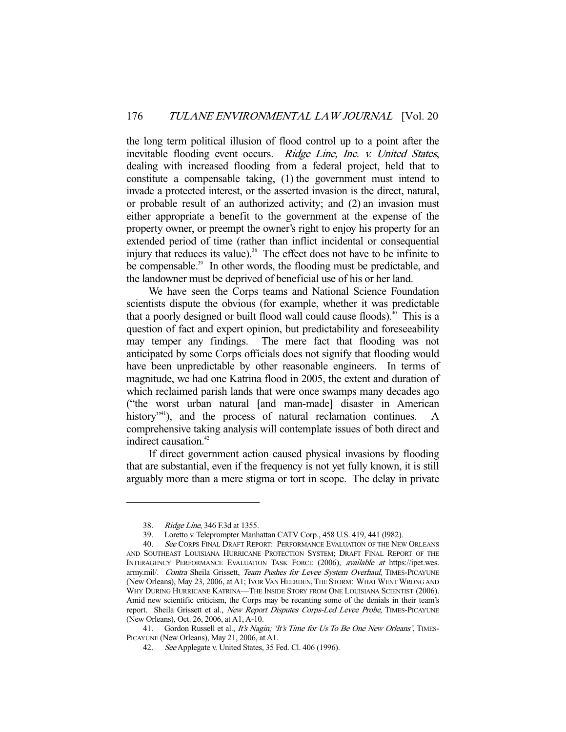the long term political illusion of flood control up to a point after the inevitable flooding event occurs. Ridge Line, Inc. v. United States, dealing with increased flooding from a federal project, held that to constitute a compensable taking, (1) the government must intend to invade a protected interest, or the asserted invasion is the direct, natural, or probable result of an authorized activity; and (2) an invasion must either appropriate a benefit to the government at the expense of the property owner, or preempt the owner's right to enjoy his property for an extended period of time (rather than inflict incidental or consequential injury that reduces its value).<sup>38</sup> The effect does not have to be infinite to be compensable.<sup>39</sup> In other words, the flooding must be predictable, and the landowner must be deprived of beneficial use of his or her land.

 We have seen the Corps teams and National Science Foundation scientists dispute the obvious (for example, whether it was predictable that a poorly designed or built flood wall could cause floods).<sup> $40$ </sup> This is a question of fact and expert opinion, but predictability and foreseeability may temper any findings. The mere fact that flooding was not anticipated by some Corps officials does not signify that flooding would have been unpredictable by other reasonable engineers. In terms of magnitude, we had one Katrina flood in 2005, the extent and duration of which reclaimed parish lands that were once swamps many decades ago ("the worst urban natural [and man-made] disaster in American history<sup>"41</sup>), and the process of natural reclamation continues. A comprehensive taking analysis will contemplate issues of both direct and indirect causation.<sup>42</sup>

 If direct government action caused physical invasions by flooding that are substantial, even if the frequency is not yet fully known, it is still arguably more than a mere stigma or tort in scope. The delay in private

 <sup>38.</sup> Ridge Line, 346 F.3d at 1355.

 <sup>39.</sup> Loretto v. Teleprompter Manhattan CATV Corp., 458 U.S. 419, 441 (l982).

<sup>40.</sup> See CORPS FINAL DRAFT REPORT: PERFORMANCE EVALUATION OF THE NEW ORLEANS AND SOUTHEAST LOUISIANA HURRICANE PROTECTION SYSTEM; DRAFT FINAL REPORT OF THE INTERAGENCY PERFORMANCE EVALUATION TASK FORCE (2006), available at https://ipet.wes. army.mil/. Contra Sheila Grissett, Team Pushes for Levee System Overhaul, TIMES-PICAYUNE (New Orleans), May 23, 2006, at A1; IVOR VAN HEERDEN,THE STORM: WHAT WENT WRONG AND WHY DURING HURRICANE KATRINA—THE INSIDE STORY FROM ONE LOUISIANA SCIENTIST (2006). Amid new scientific criticism, the Corps may be recanting some of the denials in their team's report. Sheila Grissett et al., New Report Disputes Corps-Led Levee Probe, TIMES-PICAYUNE (New Orleans), Oct. 26, 2006, at A1, A-10.

<sup>41.</sup> Gordon Russell et al., It's Nagin; 'It's Time for Us To Be One New Orleans', TIMES-PICAYUNE (New Orleans), May 21, 2006, at A1.

 <sup>42.</sup> See Applegate v. United States, 35 Fed. Cl. 406 (1996).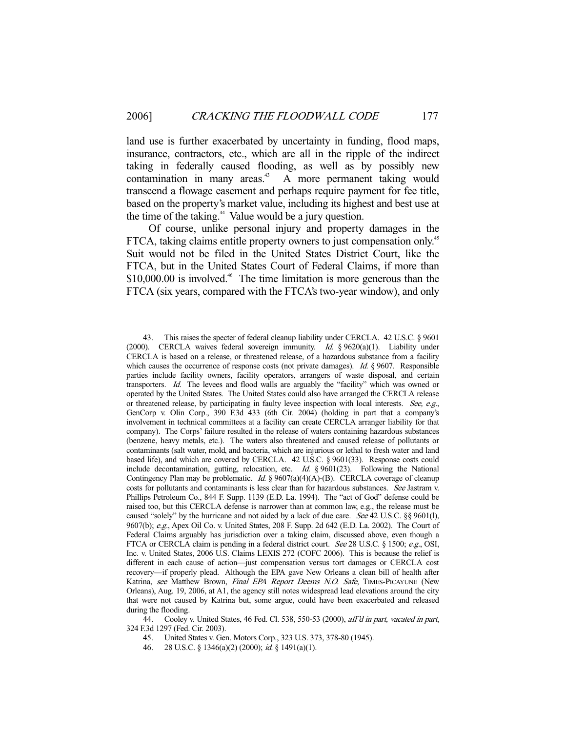land use is further exacerbated by uncertainty in funding, flood maps, insurance, contractors, etc., which are all in the ripple of the indirect taking in federally caused flooding, as well as by possibly new contamination in many areas.<sup>43</sup> A more permanent taking would transcend a flowage easement and perhaps require payment for fee title, based on the property's market value, including its highest and best use at the time of the taking.<sup>44</sup> Value would be a jury question.

 Of course, unlike personal injury and property damages in the FTCA, taking claims entitle property owners to just compensation only.<sup>45</sup> Suit would not be filed in the United States District Court, like the FTCA, but in the United States Court of Federal Claims, if more than  $$10,000.00$  is involved.<sup>46</sup> The time limitation is more generous than the FTCA (six years, compared with the FTCA's two-year window), and only

 <sup>43.</sup> This raises the specter of federal cleanup liability under CERCLA. 42 U.S.C. § 9601 (2000). CERCLA waives federal sovereign immunity. Id.  $§ 9620(a)(1)$ . Liability under CERCLA is based on a release, or threatened release, of a hazardous substance from a facility which causes the occurrence of response costs (not private damages). Id.  $\S$  9607. Responsible parties include facility owners, facility operators, arrangers of waste disposal, and certain transporters. Id. The levees and flood walls are arguably the "facility" which was owned or operated by the United States. The United States could also have arranged the CERCLA release or threatened release, by participating in faulty levee inspection with local interests. See, e.g., GenCorp v. Olin Corp., 390 F.3d 433 (6th Cir. 2004) (holding in part that a company's involvement in technical committees at a facility can create CERCLA arranger liability for that company). The Corps' failure resulted in the release of waters containing hazardous substances (benzene, heavy metals, etc.). The waters also threatened and caused release of pollutants or contaminants (salt water, mold, and bacteria, which are injurious or lethal to fresh water and land based life), and which are covered by CERCLA. 42 U.S.C. § 9601(33). Response costs could include decontamination, gutting, relocation, etc. Id. § 9601(23). Following the National Contingency Plan may be problematic. *Id.* §  $9607(a)(4)(A)$ -(B). CERCLA coverage of cleanup costs for pollutants and contaminants is less clear than for hazardous substances. See Jastram v. Phillips Petroleum Co., 844 F. Supp. 1139 (E.D. La. 1994). The "act of God" defense could be raised too, but this CERCLA defense is narrower than at common law, e.g., the release must be caused "solely" by the hurricane and not aided by a lack of due care. See 42 U.S.C. §§ 9601(1), 9607(b); e.g., Apex Oil Co. v. United States, 208 F. Supp. 2d 642 (E.D. La. 2002). The Court of Federal Claims arguably has jurisdiction over a taking claim, discussed above, even though a FTCA or CERCLA claim is pending in a federal district court. See 28 U.S.C. § 1500; e.g., OSI, Inc. v. United States, 2006 U.S. Claims LEXIS 272 (COFC 2006). This is because the relief is different in each cause of action—just compensation versus tort damages or CERCLA cost recovery—if properly plead. Although the EPA gave New Orleans a clean bill of health after Katrina, see Matthew Brown, *Final EPA Report Deems N.O. Safe*, TIMES-PICAYUNE (New Orleans), Aug. 19, 2006, at A1, the agency still notes widespread lead elevations around the city that were not caused by Katrina but, some argue, could have been exacerbated and released during the flooding.

<sup>44.</sup> Cooley v. United States, 46 Fed. Cl. 538, 550-53 (2000), aff'd in part, vacated in part, 324 F.3d 1297 (Fed. Cir. 2003).

 <sup>45.</sup> United States v. Gen. Motors Corp., 323 U.S. 373, 378-80 (1945).

 <sup>46. 28</sup> U.S.C. § 1346(a)(2) (2000); id. § 1491(a)(1).